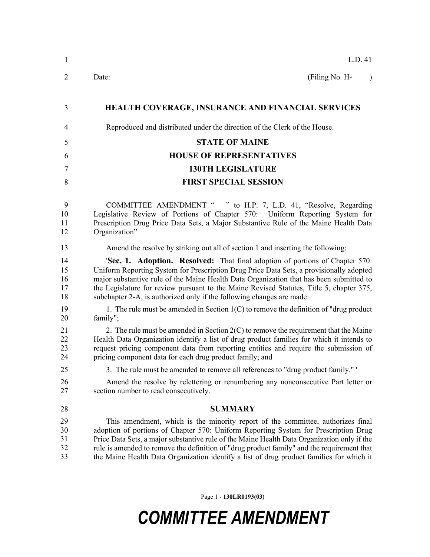| 1                          | L.D. 41                                                                                                                                                                                                                                                                                                                                                                                                                                                         |
|----------------------------|-----------------------------------------------------------------------------------------------------------------------------------------------------------------------------------------------------------------------------------------------------------------------------------------------------------------------------------------------------------------------------------------------------------------------------------------------------------------|
| $\overline{2}$             | (Filing No. H-<br>Date:                                                                                                                                                                                                                                                                                                                                                                                                                                         |
| 3                          | HEALTH COVERAGE, INSURANCE AND FINANCIAL SERVICES                                                                                                                                                                                                                                                                                                                                                                                                               |
| 4                          | Reproduced and distributed under the direction of the Clerk of the House.                                                                                                                                                                                                                                                                                                                                                                                       |
| 5                          | <b>STATE OF MAINE</b>                                                                                                                                                                                                                                                                                                                                                                                                                                           |
| 6                          | <b>HOUSE OF REPRESENTATIVES</b>                                                                                                                                                                                                                                                                                                                                                                                                                                 |
| 7                          | <b>130TH LEGISLATURE</b>                                                                                                                                                                                                                                                                                                                                                                                                                                        |
| 8                          | <b>FIRST SPECIAL SESSION</b>                                                                                                                                                                                                                                                                                                                                                                                                                                    |
| 9<br>10<br>11<br>12        | COMMITTEE AMENDMENT " " to H.P. 7, L.D. 41, "Resolve, Regarding<br>Legislative Review of Portions of Chapter 570: Uniform Reporting System for<br>Prescription Drug Price Data Sets, a Major Substantive Rule of the Maine Health Data<br>Organization"                                                                                                                                                                                                         |
| 13                         | Amend the resolve by striking out all of section 1 and inserting the following:                                                                                                                                                                                                                                                                                                                                                                                 |
| 14<br>15<br>16<br>17<br>18 | <b>'Sec. 1. Adoption. Resolved:</b> That final adoption of portions of Chapter 570:<br>Uniform Reporting System for Prescription Drug Price Data Sets, a provisionally adopted<br>major substantive rule of the Maine Health Data Organization that has been submitted to<br>the Legislature for review pursuant to the Maine Revised Statutes, Title 5, chapter 375,<br>subchapter 2-A, is authorized only if the following changes are made:                  |
| 19<br>20                   | 1. The rule must be amended in Section $1(C)$ to remove the definition of "drug product"<br>family";                                                                                                                                                                                                                                                                                                                                                            |
| 21<br>22<br>23<br>24       | 2. The rule must be amended in Section 2(C) to remove the requirement that the Maine<br>Health Data Organization identify a list of drug product families for which it intends to<br>request pricing component data from reporting entities and require the submission of<br>pricing component data for each drug product family; and                                                                                                                           |
| 25                         | 3. The rule must be amended to remove all references to "drug product family."                                                                                                                                                                                                                                                                                                                                                                                  |
| 26<br>27                   | Amend the resolve by relettering or renumbering any nonconsecutive Part letter or<br>section number to read consecutively.                                                                                                                                                                                                                                                                                                                                      |
| 28                         | <b>SUMMARY</b>                                                                                                                                                                                                                                                                                                                                                                                                                                                  |
| 29<br>30<br>31<br>32<br>33 | This amendment, which is the minority report of the committee, authorizes final<br>adoption of portions of Chapter 570: Uniform Reporting System for Prescription Drug<br>Price Data Sets, a major substantive rule of the Maine Health Data Organization only if the<br>rule is amended to remove the definition of "drug product family" and the requirement that<br>the Maine Health Data Organization identify a list of drug product families for which it |
|                            |                                                                                                                                                                                                                                                                                                                                                                                                                                                                 |

Page 1 - **130LR0193(03)**

## *COMMITTEE AMENDMENT*